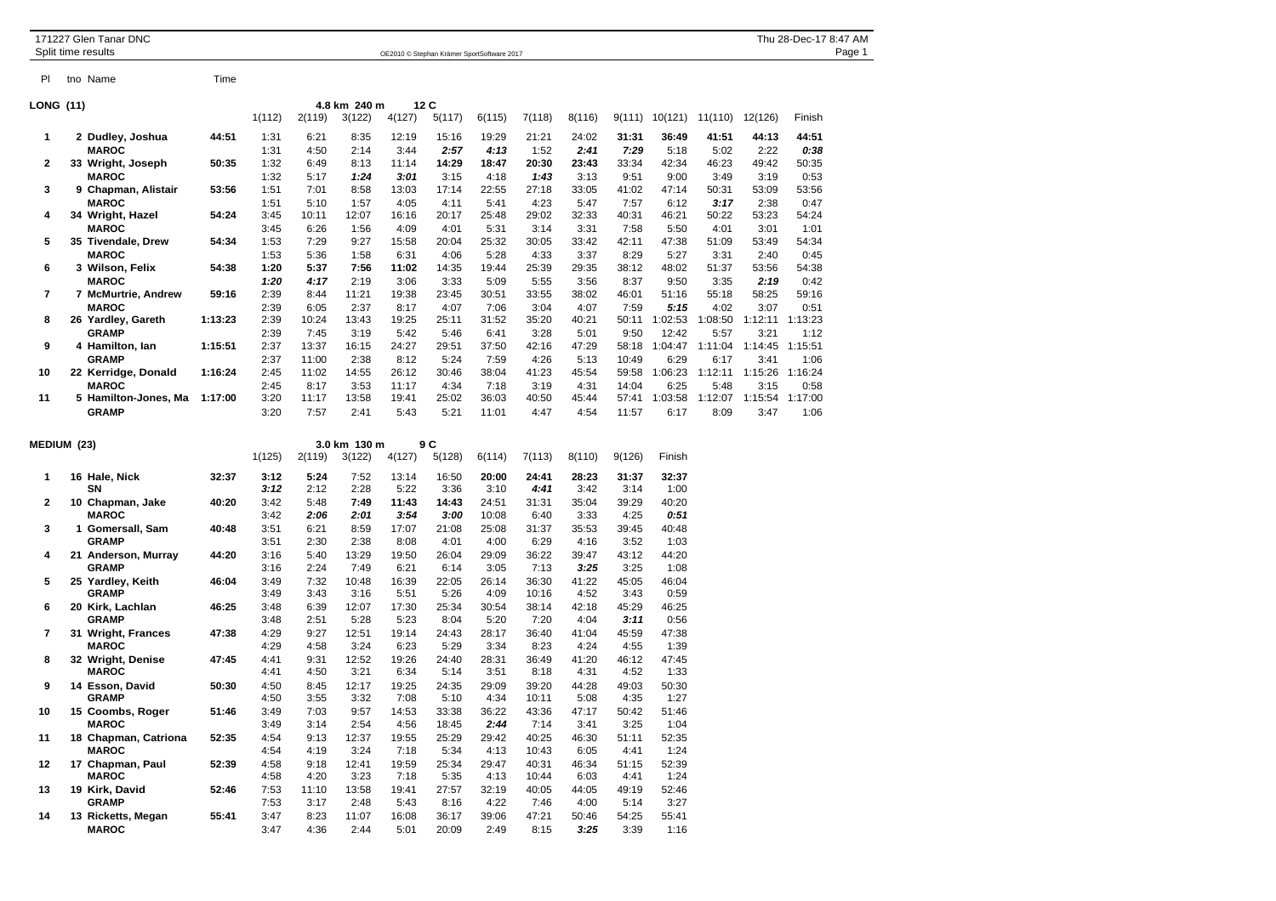|                  |  | 171227 Glen Tanar DNC<br>Split time results | Thu 28-Dec-17 8:47 AM<br>OE2010 © Stephan Krämer SportSoftware 2017 |                     |              |              |               |               |               |               |               |               |                    | Page 1          |               |                 |  |
|------------------|--|---------------------------------------------|---------------------------------------------------------------------|---------------------|--------------|--------------|---------------|---------------|---------------|---------------|---------------|---------------|--------------------|-----------------|---------------|-----------------|--|
|                  |  |                                             |                                                                     |                     |              |              |               |               |               |               |               |               |                    |                 |               |                 |  |
| PI               |  | tno Name                                    | Time                                                                |                     |              |              |               |               |               |               |               |               |                    |                 |               |                 |  |
| <b>LONG (11)</b> |  |                                             |                                                                     |                     |              | 4.8 km 240 m |               | 12C           |               |               |               |               |                    |                 |               |                 |  |
|                  |  |                                             |                                                                     | 1(112)              | 2(119)       | 3(122)       | 4(127)        | 5(117)        | 6(115)        | 7(118)        | 8(116)        |               | $9(111)$ $10(121)$ | 11(110)         | 12(126)       | Finish          |  |
| 1                |  | 2 Dudley, Joshua                            | 44:51                                                               | 1:31                | 6:21         | 8:35         | 12:19         | 15:16         | 19:29         | 21:21         | 24:02         | 31:31         | 36:49              | 41:51           | 44:13         | 44:51           |  |
|                  |  | <b>MAROC</b>                                |                                                                     | 1:31                | 4:50         | 2:14         | 3:44          | 2:57          | 4:13          | 1:52          | 2:41          | 7:29          | 5:18               | 5:02            | 2:22          | 0:38            |  |
| 2                |  | 33 Wright, Joseph                           | 50:35                                                               | 1:32                | 6:49         | 8:13         | 11:14         | 14:29         | 18:47         | 20:30         | 23:43         | 33:34         | 42:34              | 46:23           | 49:42         | 50:35           |  |
|                  |  | <b>MAROC</b>                                |                                                                     | 1:32                | 5:17         | 1:24         | 3:01          | 3:15          | 4:18          | 1:43          | 3:13          | 9:51          | 9:00               | 3:49            | 3:19          | 0:53            |  |
| 3                |  | 9 Chapman, Alistair                         | 53:56                                                               | 1:51                | 7:01         | 8:58         | 13:03         | 17:14         | 22:55         | 27:18         | 33:05         | 41:02         | 47:14              | 50:31           | 53:09         | 53:56           |  |
|                  |  | <b>MAROC</b>                                |                                                                     | 1:51                | 5:10         | 1:57         | 4:05          | 4:11          | 5:41          | 4:23          | 5:47          | 7:57          | 6:12               | 3:17            | 2:38          | 0:47            |  |
| 4                |  | 34 Wright, Hazel                            | 54:24                                                               | 3:45                | 10:11        | 12:07        | 16:16         | 20:17         | 25:48         | 29:02         | 32:33         | 40:31         | 46:21              | 50:22           | 53:23         | 54:24           |  |
| 5                |  | <b>MAROC</b>                                |                                                                     | 3:45                | 6:26         | 1:56         | 4:09          | 4:01          | 5:31          | 3:14          | 3:31          | 7:58          | 5:50               | 4:01            | 3:01          | 1:01            |  |
|                  |  | 35 Tivendale, Drew                          | 54:34                                                               | 1:53                | 7:29         | 9:27         | 15:58         | 20:04         | 25:32         | 30:05         | 33:42         | 42:11         | 47:38              | 51:09           | 53:49         | 54:34           |  |
| 6                |  | <b>MAROC</b>                                |                                                                     | 1:53                | 5:36         | 1:58         | 6:31          | 4:06          | 5:28          | 4:33          | 3:37          | 8:29          | 5:27               | 3:31            | 2:40          | 0:45            |  |
|                  |  | 3 Wilson, Felix<br><b>MAROC</b>             | 54:38                                                               | 1:20<br>1:20        | 5:37<br>4:17 | 7:56<br>2:19 | 11:02<br>3:06 | 14:35<br>3:33 | 19:44<br>5:09 | 25:39<br>5:55 | 29:35<br>3:56 | 38:12<br>8:37 | 48:02<br>9:50      | 51:37<br>3:35   | 53:56<br>2:19 | 54:38<br>0:42   |  |
| $\overline{7}$   |  | 7 McMurtrie, Andrew                         | 59:16                                                               | 2:39                | 8:44         | 11:21        | 19:38         | 23:45         | 30:51         | 33:55         | 38:02         | 46:01         | 51:16              | 55:18           | 58:25         | 59:16           |  |
|                  |  | <b>MAROC</b>                                |                                                                     | 2:39                | 6:05         | 2:37         | 8:17          | 4:07          | 7:06          | 3:04          | 4:07          | 7:59          | 5:15               | 4:02            | 3:07          | 0:51            |  |
| 8<br>9           |  | 26 Yardley, Gareth                          | 1:13:23                                                             | 2:39                | 10:24        | 13:43        | 19:25         | 25:11         | 31:52         | 35:20         | 40:21         | 50:11         | 1:02:53            | 1:08:50         |               | 1:12:11 1:13:23 |  |
|                  |  | <b>GRAMP</b>                                |                                                                     | 2:39                | 7:45         | 3:19         | 5:42          | 5:46          | 6:41          | 3:28          | 5:01          | 9:50          | 12:42              | 5:57            | 3:21          | 1:12            |  |
|                  |  | 4 Hamilton, lan                             | 1:15:51                                                             | 2:37                | 13:37        | 16:15        | 24:27         | 29:51         | 37:50         | 42:16         | 47:29         | 58:18         |                    | 1:04:47 1:11:04 |               | 1:14:45 1:15:51 |  |
|                  |  | <b>GRAMP</b>                                |                                                                     | 2:37                | 11:00        | 2:38         | 8:12          | 5:24          | 7:59          | 4:26          | 5:13          | 10:49         | 6:29               | 6:17            | 3:41          | 1:06            |  |
| 10               |  | 22 Kerridge, Donald                         | 1:16:24                                                             | 2:45                | 11:02        | 14:55        | 26:12         | 30:46         | 38:04         | 41:23         | 45:54         | 59:58         | 1:06:23            | 1:12:11         |               | 1:15:26 1:16:24 |  |
|                  |  | <b>MAROC</b>                                |                                                                     | 2:45                | 8:17         | 3:53         | 11:17         | 4:34          | 7:18          | 3:19          | 4:31          | 14:04         | 6:25               | 5:48            | 3:15          | 0:58            |  |
| 11               |  | 5 Hamilton-Jones, Ma                        | 1:17:00                                                             | 3:20                | 11:17        | 13:58        | 19:41         | 25:02         | 36:03         | 40:50         | 45:44         | 57:41         | 1:03:58            | 1:12:07         | 1:15:54       | 1:17:00         |  |
|                  |  | <b>GRAMP</b>                                |                                                                     | 3:20                | 7:57         | 2:41         | 5:43          | 5:21          | 11:01         | 4:47          | 4:54          | 11:57         | 6:17               | 8:09            | 3:47          | 1:06            |  |
| MEDIUM (23)      |  |                                             |                                                                     | 3.0 km 130 m<br>9 C |              |              |               |               |               |               |               |               |                    |                 |               |                 |  |
|                  |  |                                             |                                                                     | 1(125)              | 2(119)       | 3(122)       | 4(127)        | 5(128)        | 6(114)        | 7(113)        | 8(110)        | 9(126)        | Finish             |                 |               |                 |  |
| 1                |  | 16 Hale, Nick                               | 32:37                                                               | 3:12                | 5:24         | 7:52         | 13:14         | 16:50         | 20:00         | 24:41         | 28:23         | 31:37         | 32:37              |                 |               |                 |  |
|                  |  | SN                                          |                                                                     | 3:12                | 2:12         | 2:28         | 5:22          | 3:36          | 3:10          | 4:41          | 3:42          | 3:14          | 1:00               |                 |               |                 |  |
| 2                |  | 10 Chapman, Jake                            | 40:20                                                               | 3:42                | 5:48         | 7:49         | 11:43         | 14:43         | 24:51         | 31:31         | 35:04         | 39:29         | 40:20              |                 |               |                 |  |
|                  |  | <b>MAROC</b>                                |                                                                     | 3:42                | 2:06         | 2:01         | 3:54          | 3:00          | 10:08         | 6:40          | 3:33          | 4:25          | 0:51               |                 |               |                 |  |
| 3                |  | 1 Gomersall, Sam<br><b>GRAMP</b>            | 40:48                                                               | 3:51<br>3:51        | 6:21<br>2:30 | 8:59<br>2:38 | 17:07<br>8:08 | 21:08<br>4:01 | 25:08<br>4:00 | 31:37<br>6:29 | 35:53<br>4:16 | 39:45<br>3:52 | 40:48<br>1:03      |                 |               |                 |  |
| 4                |  | 21 Anderson, Murray                         | 44:20                                                               | 3:16                | 5:40         | 13:29        | 19:50         | 26:04         | 29:09         | 36:22         | 39:47         | 43:12         | 44:20              |                 |               |                 |  |
|                  |  | <b>GRAMP</b>                                |                                                                     | 3:16                | 2:24         | 7:49         | 6:21          | 6:14          | 3:05          | 7:13          | 3:25          | 3:25          | 1:08               |                 |               |                 |  |
| 5                |  | 25 Yardley, Keith                           | 46:04                                                               | 3:49                | 7:32         | 10:48        | 16:39         | 22:05         | 26:14         | 36:30         | 41:22         | 45:05         | 46:04              |                 |               |                 |  |
|                  |  | <b>GRAMP</b>                                |                                                                     | 3:49                | 3:43         | 3:16         | 5:51          | 5:26          | 4:09          | 10:16         | 4:52          | 3:43          | 0:59               |                 |               |                 |  |
| 6                |  | 20 Kirk, Lachlan                            | 46:25                                                               | 3:48                | 6:39         | 12:07        | 17:30         | 25:34         | 30:54         | 38:14         | 42:18         | 45:29         | 46:25              |                 |               |                 |  |
|                  |  | <b>GRAMP</b>                                |                                                                     | 3:48                | 2:51         | 5:28         | 5:23          | 8:04          | 5:20          | 7:20          | 4:04          | 3:11          | 0:56               |                 |               |                 |  |
| 7                |  | 31 Wright, Frances                          | 47:38                                                               | 4:29                | 9:27         | 12:51        | 19:14         | 24:43         | 28:17         | 36:40         | 41:04         | 45:59         | 47:38              |                 |               |                 |  |
|                  |  | <b>MAROC</b>                                |                                                                     | 4:29                | 4:58         | 3:24         | 6:23          | 5:29          | 3:34          | 8:23          | 4:24          | 4:55          | 1:39               |                 |               |                 |  |
| 8                |  | 32 Wright, Denise                           | 47:45                                                               | 4:41                | 9:31         | 12:52        | 19:26         | 24:40         | 28:31         | 36:49         | 41:20         | 46:12         | 47:45              |                 |               |                 |  |

**MAROC** 4:41 4:50 3:21 6:34 5:14 3:51 8:18 4:31 4:52 1:33 **9 14 Esson, David 50:30** 4:50 8:45 12:17 19:25 24:35 29:09 39:20 44:28 49:03 50:30 **GRAMP** 4:50 3:55 3:32 7:08 5:10 4:34 10:11 5:08 4:35 1:27

**10 15 Coombs, Roger 51:46** 3:49 7:03 9:57 14:53 33:38 36:22 43:36 47:17 50:42 51:46 **MAROC** 3:49 3:14 2:54 4:56 18:45 *2:44* 7:14 3:41 3:25 1:04 **11 18 Chapman, Catriona 52:35** 4:54 9:13 12:37 19:55 25:29 29:42 40:25 46:30 51:11 52:35 **MAROC** 4:54 4:19 3:24 7:18 5:34 4:13 10:43 6:05 4:41 1:24 **12 17 Chapman, Paul 52:39** 4:58 9:18 12:41 19:59 25:34 29:47 40:31 46:34 51:15 52:39 **MAROC** 4:58 4:20 3:23 7:18 5:35 4:13 10:44 6:03 4:41 1:24

**13 19 Kirk, David 52:46** 7:53 11:10 13:58 19:41 27:57 32:19 40:05 44:05 49:19 52:46 **GRAMP** 7:53 3:17 2:48 5:43 8:16 4:22 7:46 4:00 5:14 3:27 **14 13 Ricketts, Megan 55:41** 3:47 8:23 11:07 16:08 36:17 39:06 47:21 50:46 54:25 55:41 **MAROC** 3:47 4:36 2:44 5:01 20:09 2:49 8:15 *3:25* 3:39 1:16